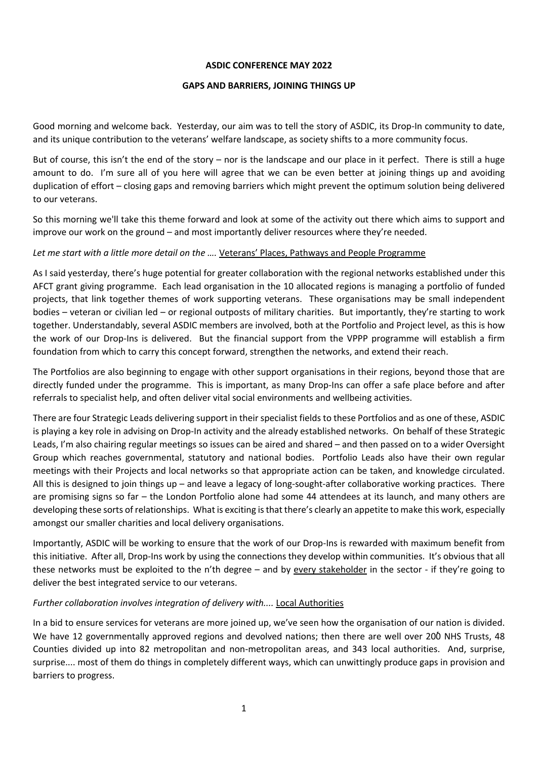## **ASDIC CONFERENCE MAY 2022**

### **GAPS AND BARRIERS, JOINING THINGS UP**

Good morning and welcome back. Yesterday, our aim was to tell the story of ASDIC, its Drop-In community to date, and its unique contribution to the veterans' welfare landscape, as society shifts to a more community focus.

But of course, this isn't the end of the story – nor is the landscape and our place in it perfect. There is still a huge amount to do. I'm sure all of you here will agree that we can be even better at joining things up and avoiding duplication of effort – closing gaps and removing barriers which might prevent the optimum solution being delivered to our veterans.

So this morning we'll take this theme forward and look at some of the activity out there which aims to support and improve our work on the ground – and most importantly deliver resources where they're needed.

## Let me start with a little more detail on the .... Veterans' Places, Pathways and People Programme

As I said yesterday, there's huge potential for greater collaboration with the regional networks established under this AFCT grant giving programme. Each lead organisation in the 10 allocated regions is managing a portfolio of funded projects, that link together themes of work supporting veterans. These organisations may be small independent bodies – veteran or civilian led – or regional outposts of military charities. But importantly, they're starting to work together. Understandably, several ASDIC members are involved, both at the Portfolio and Project level, as this is how the work of our Drop-Ins is delivered. But the financial support from the VPPP programme will establish a firm foundation from which to carry this concept forward, strengthen the networks, and extend their reach.

The Portfolios are also beginning to engage with other support organisations in their regions, beyond those that are directly funded under the programme. This is important, as many Drop-Ins can offer a safe place before and after referrals to specialist help, and often deliver vital social environments and wellbeing activities.

There are four Strategic Leads delivering support in their specialist fields to these Portfolios and as one of these, ASDIC is playing a key role in advising on Drop-In activity and the already established networks. On behalf of these Strategic Leads, I'm also chairing regular meetings so issues can be aired and shared – and then passed on to a wider Oversight Group which reaches governmental, statutory and national bodies. Portfolio Leads also have their own regular meetings with their Projects and local networks so that appropriate action can be taken, and knowledge circulated. All this is designed to join things up – and leave a legacy of long-sought-after collaborative working practices. There are promising signs so far – the London Portfolio alone had some 44 attendees at its launch, and many others are developing these sorts of relationships. What is exciting is that there's clearly an appetite to make this work, especially amongst our smaller charities and local delivery organisations.

Importantly, ASDIC will be working to ensure that the work of our Drop-Ins is rewarded with maximum benefit from this initiative. After all, Drop-Ins work by using the connections they develop within communities. It's obvious that all these networks must be exploited to the n'th degree – and by every stakeholder in the sector - if they're going to deliver the best integrated service to our veterans.

## Further collaboration involves integration of delivery with.... **Local Authorities**

In a bid to ensure services for veterans are more joined up, we've seen how the organisation of our nation is divided. We have 12 governmentally approved regions and devolved nations; then there are well over 200 NHS Trusts, 48 Counties divided up into 82 metropolitan and non-metropolitan areas, and 343 local authorities. And, surprise, surprise.... most of them do things in completely different ways, which can unwittingly produce gaps in provision and barriers to progress.